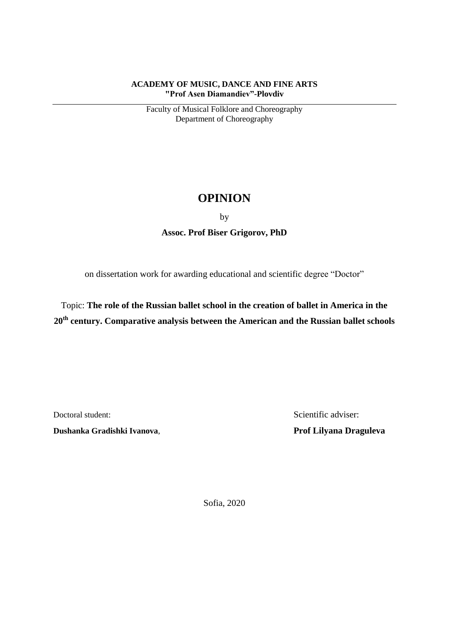## **ACADEMY OF MUSIC, DANCE AND FINE ARTS "Prof Asen Diamandiev"-Plovdiv**

Faculty of Musical Folklore and Choreography Department of Choreography

## **OPINION**

by

**Assoc. Prof Biser Grigorov, PhD**

on dissertation work for awarding educational and scientific degree "Doctor"

Topic: **The role of the Russian ballet school in the creation of ballet in America in the 20th century. Comparative analysis between the American and the Russian ballet schools**

**Dushanka Gradishki Ivanova**, **Prof Lilyana Draguleva**

Doctoral student: Scientific adviser:

Sofia, 2020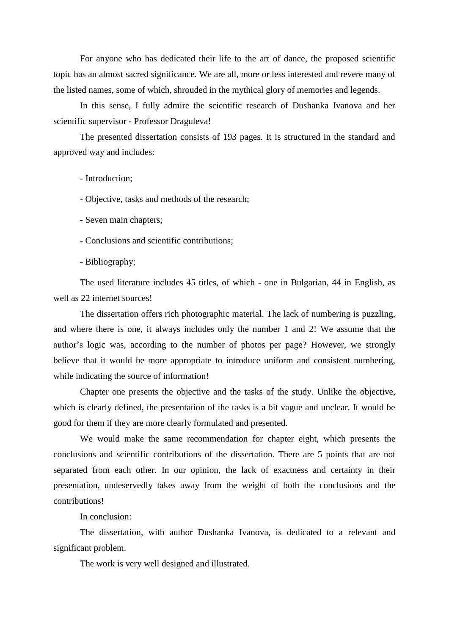For anyone who has dedicated their life to the art of dance, the proposed scientific topic has an almost sacred significance. We are all, more or less interested and revere many of the listed names, some of which, shrouded in the mythical glory of memories and legends.

In this sense, I fully admire the scientific research of Dushanka Ivanova and her scientific supervisor - Professor Draguleva!

The presented dissertation consists of 193 pages. It is structured in the standard and approved way and includes:

- Introduction;

- Objective, tasks and methods of the research;

- Seven main chapters;

- Conclusions and scientific contributions;

- Bibliography;

The used literature includes 45 titles, of which - one in Bulgarian, 44 in English, as well as 22 internet sources!

The dissertation offers rich photographic material. The lack of numbering is puzzling, and where there is one, it always includes only the number 1 and 2! We assume that the author's logic was, according to the number of photos per page? However, we strongly believe that it would be more appropriate to introduce uniform and consistent numbering, while indicating the source of information!

Chapter one presents the objective and the tasks of the study. Unlike the objective, which is clearly defined, the presentation of the tasks is a bit vague and unclear. It would be good for them if they are more clearly formulated and presented.

We would make the same recommendation for chapter eight, which presents the conclusions and scientific contributions of the dissertation. There are 5 points that are not separated from each other. In our opinion, the lack of exactness and certainty in their presentation, undeservedly takes away from the weight of both the conclusions and the contributions!

In conclusion:

The dissertation, with author Dushanka Ivanova, is dedicated to a relevant and significant problem.

The work is very well designed and illustrated.